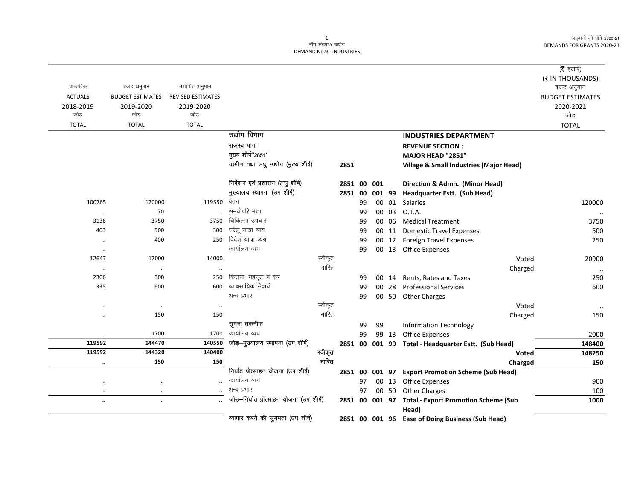| वास्तविक             | बजट अनुमान              | संशोधित अनुमान           |                                          |         |         |    |        |       |                                                              | ( $\bar{\tau}$ हजार)<br>(₹ IN THOUSANDS)     |
|----------------------|-------------------------|--------------------------|------------------------------------------|---------|---------|----|--------|-------|--------------------------------------------------------------|----------------------------------------------|
| <b>ACTUALS</b>       | <b>BUDGET ESTIMATES</b> | <b>REVISED ESTIMATES</b> |                                          |         |         |    |        |       |                                                              | बजट अनुमान                                   |
| 2018-2019<br>जोड़    | 2019-2020<br>जोड़       | 2019-2020<br>जोड़        |                                          |         |         |    |        |       |                                                              | <b>BUDGET ESTIMATES</b><br>2020-2021<br>जोड़ |
| <b>TOTAL</b>         | <b>TOTAL</b>            | <b>TOTAL</b>             |                                          |         |         |    |        |       |                                                              | <b>TOTAL</b>                                 |
|                      |                         |                          | उद्योग विभाग                             |         |         |    |        |       | <b>INDUSTRIES DEPARTMENT</b>                                 |                                              |
|                      |                         |                          | राजस्व भाग:                              |         |         |    |        |       | <b>REVENUE SECTION:</b>                                      |                                              |
|                      |                         |                          | मुख्य शीर्ष"2851"                        |         |         |    |        |       | MAJOR HEAD "2851"                                            |                                              |
|                      |                         |                          | ग्रामीण तथा लघु उद्योग (मुख्य शीर्ष)     |         | 2851    |    |        |       | Village & Small Industries (Major Head)                      |                                              |
|                      |                         |                          | निर्देशन एवं प्रशासन (लघु शीर्ष)         |         | 2851 00 |    | 001    |       | Direction & Admn. (Minor Head)                               |                                              |
|                      |                         |                          | मुख्यालय स्थापना (उप शीर्ष)              |         | 2851 00 |    | 001 99 |       | Headquarter Estt. (Sub Head)                                 |                                              |
| 100765               | 120000                  | 119550                   | वेतन                                     |         |         | 99 |        | 00 01 | Salaries                                                     | 120000                                       |
| $\ldots$             | 70                      |                          | समयोपरि भत्ता                            |         |         | 99 |        | 00 03 | O.T.A.                                                       |                                              |
| 3136                 | 3750                    | 3750                     | चिकित्सा उपचार                           |         |         | 99 | 00     | 06    | <b>Medical Treatment</b>                                     | 3750                                         |
| 403                  | 500                     | 300                      | घरेलू यात्रा व्यय                        |         |         | 99 |        | 00 11 | <b>Domestic Travel Expenses</b>                              | 500                                          |
| $\cdot\cdot$         | 400                     | 250                      | विदेश यात्रा व्यय                        |         |         | 99 |        |       | 00 12 Foreign Travel Expenses                                | 250                                          |
| $\ddotsc$            |                         |                          | कार्यालय व्यय                            |         |         | 99 |        |       | 00 13 Office Expenses                                        |                                              |
| 12647                | 17000                   | 14000                    |                                          | स्वीकृत |         |    |        |       | Voted                                                        | 20900                                        |
| $\cdot\cdot$         | $\ldots$                |                          |                                          | भारित   |         |    |        |       | Charged                                                      |                                              |
| 2306                 | 300                     | 250                      | किराया, महसूल व कर                       |         |         | 99 | 00     | 14    | Rents, Rates and Taxes                                       | 250                                          |
| 335                  | 600                     | 600                      | व्यावसायिक सेवायें                       |         |         | 99 | 00     | 28    | <b>Professional Services</b>                                 | 600                                          |
|                      |                         |                          | अन्य प्रभार                              |         |         | 99 |        | 00 50 | <b>Other Charges</b>                                         |                                              |
|                      | $\cdot$                 | $\ldots$                 |                                          | स्वीकृत |         |    |        |       | Voted                                                        |                                              |
| $\ddotsc$            | 150                     | 150                      |                                          | भारित   |         |    |        |       | Charged                                                      | 150                                          |
|                      |                         |                          | सूचना तकनीक                              |         |         | 99 | 99     |       | <b>Information Technology</b>                                |                                              |
| $\ddot{\phantom{0}}$ | 1700                    | 1700                     | कार्यालय व्यय                            |         |         | 99 |        | 99 13 | <b>Office Expenses</b>                                       | 2000                                         |
| 119592               | 144470                  | 140550                   | जोड़-मुख्यालय स्थापना (उप शीर्ष)         |         |         |    |        |       | 2851 00 001 99 Total - Headquarter Estt. (Sub Head)          | 148400                                       |
| 119592               | 144320                  | 140400                   |                                          | स्वीकृत |         |    |        |       | Voted                                                        | 148250                                       |
| $\cdots$             | 150                     | 150                      |                                          | भारित   |         |    |        |       | Charged                                                      | 150                                          |
|                      |                         |                          | निर्यात प्रोत्साहन योजना (उप शीर्ष)      |         | 2851 00 |    |        |       | 001 97 Export Promotion Scheme (Sub Head)                    |                                              |
| $\ldots$             | $\cdot\cdot$            |                          | कार्यालय व्यय                            |         |         | 97 |        |       | 00 13 Office Expenses                                        | 900                                          |
| $\ldots$             | $\cdot\cdot$            |                          | अन्य प्रभार                              |         |         | 97 |        | 00 50 | <b>Other Charges</b>                                         | 100                                          |
| $\cdots$             | $\ldots$                |                          | जोड़-निर्यात प्रोत्साहन योजना (उप शीर्ष) |         |         |    |        |       | 2851 00 001 97 Total - Export Promotion Scheme (Sub<br>Head) | 1000                                         |
|                      |                         |                          | व्यापार करने की सुगमता (उप शीर्ष)        |         |         |    |        |       | 2851 00 001 96 Ease of Doing Business (Sub Head)             |                                              |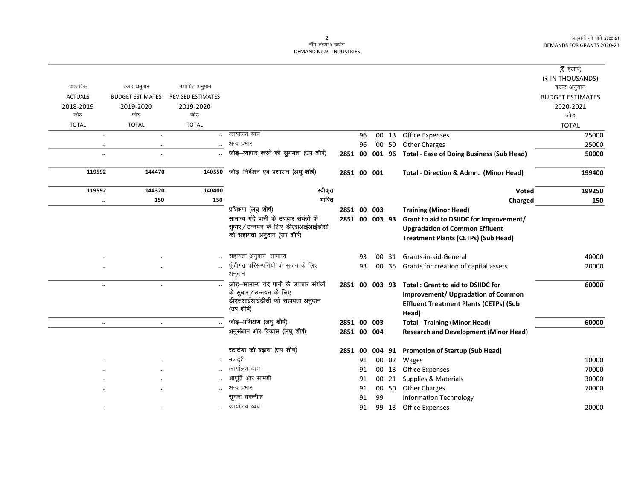|                |                                   |                          |                                             |             |    |                 |       |                                                        | ( $\bar{\tau}$ हजार)    |
|----------------|-----------------------------------|--------------------------|---------------------------------------------|-------------|----|-----------------|-------|--------------------------------------------------------|-------------------------|
|                |                                   |                          |                                             |             |    |                 |       |                                                        | (₹ IN THOUSANDS)        |
| वास्तविक       | बजट अनुमान                        | संशोधित अनुमान           |                                             |             |    |                 |       |                                                        | बजट अनुमान              |
| <b>ACTUALS</b> | <b>BUDGET ESTIMATES</b>           | <b>REVISED ESTIMATES</b> |                                             |             |    |                 |       |                                                        | <b>BUDGET ESTIMATES</b> |
| 2018-2019      | 2019-2020                         | 2019-2020                |                                             |             |    |                 |       |                                                        | 2020-2021               |
| जोड़           | जोड़                              | जोड                      |                                             |             |    |                 |       |                                                        | जोड                     |
| <b>TOTAL</b>   | <b>TOTAL</b>                      | <b>TOTAL</b>             |                                             |             |    |                 |       |                                                        | <b>TOTAL</b>            |
|                | $\ddot{\phantom{a}}$<br>$\ddotsc$ |                          | कार्यालय व्यय                               |             | 96 |                 | 00 13 | <b>Office Expenses</b>                                 | 25000                   |
|                | $\cdot$ .<br>$\ddotsc$            |                          | अन्य प्रभार                                 |             | 96 |                 | 00 50 | <b>Other Charges</b>                                   | 25000                   |
|                | $\ddot{\phantom{a}}$<br>$\ddotsc$ |                          | जोड़-व्यापार करने की सुगमता (उप शीर्ष)      | 2851 00     |    | 001 96          |       | <b>Total - Ease of Doing Business (Sub Head)</b>       | 50000                   |
| 119592         | 144470                            | 140550                   | जोड़-निर्देशन एवं प्रशासन (लघु शीर्ष)       | 2851 00 001 |    |                 |       | Total - Direction & Admn. (Minor Head)                 | 199400                  |
| 119592         | 144320                            | 140400                   | स्वीकृत                                     |             |    |                 |       | Voted                                                  | 199250                  |
|                | 150<br>$\ldots$                   | 150                      | भारित                                       |             |    |                 |       | Charged                                                | 150                     |
|                |                                   |                          | प्रशिक्षण (लघुशीर्ष)                        | 2851 00 003 |    |                 |       | <b>Training (Minor Head)</b>                           |                         |
|                |                                   |                          | सामान्य गंदे पानी के उपचार संयंत्रों के     |             |    | 2851 00 003 93  |       | Grant to aid to DSIIDC for Improvement/                |                         |
|                |                                   |                          | सुधार/उन्नयन के लिए डीएसआईआईडीसी            |             |    |                 |       | <b>Upgradation of Common Effluent</b>                  |                         |
|                |                                   |                          | को सहायता अनुदान (उप शीर्ष)                 |             |    |                 |       | <b>Treatment Plants (CETPs) (Sub Head)</b>             |                         |
|                |                                   |                          | सहायता अनुदान–सामान्य                       |             | 93 | 00              | 31    | Grants-in-aid-General                                  | 40000                   |
|                |                                   | $\ddotsc$                | पूंजीगत परिसम्पतियो के सृजन के लिए          |             | 93 | 00              | 35    | Grants for creation of capital assets                  | 20000                   |
|                |                                   |                          | अनुदान                                      |             |    |                 |       |                                                        |                         |
|                | <br>$\ldots$                      |                          | जोड़-सामान्य गंदे पानी के उपचार संयंत्रों   |             |    | 2851 00 003 93  |       | <b>Total: Grant to aid to DSIIDC for</b>               | 60000                   |
|                |                                   |                          | के सुधार/उन्नयन के लिए                      |             |    |                 |       | <b>Improvement/ Upgradation of Common</b>              |                         |
|                |                                   |                          | डीएसआईआईडीसी को सहायता अनुदान<br>(उप शीर्ष) |             |    |                 |       | <b>Effluent Treatment Plants (CETPs) (Sub</b><br>Head) |                         |
|                | $\ddotsc$<br>$\ldots$             |                          | जोड़-प्रशिक्षण (लघु शीर्ष)                  | 2851 00 003 |    |                 |       | <b>Total - Training (Minor Head)</b>                   | 60000                   |
|                |                                   |                          | अनुसंधान और विकास (लघु शीर्ष)               | 2851 00 004 |    |                 |       | <b>Research and Development (Minor Head)</b>           |                         |
|                |                                   |                          |                                             |             |    |                 |       |                                                        |                         |
|                |                                   |                          | स्टार्टप्स को बढ़ावा (उप शीर्ष)             | 2851 00     |    | 004 91          |       | <b>Promotion of Startup (Sub Head)</b>                 |                         |
|                |                                   |                          | मजदूरी                                      |             | 91 |                 | 00 02 | Wages                                                  | 10000                   |
|                |                                   |                          | कार्यालय व्यय                               |             | 91 |                 | 00 13 | <b>Office Expenses</b>                                 | 70000                   |
|                | $\ddotsc$<br>$\cdot$ .            |                          | आपूर्ति और सामग्री                          |             | 91 | 00 <sub>o</sub> | 21    | Supplies & Materials                                   | 30000                   |
|                |                                   |                          | अन्य प्रभार                                 |             | 91 |                 | 00 50 | <b>Other Charges</b>                                   | 70000                   |
|                |                                   |                          | सूचना तकनीक                                 |             | 91 | 99              |       | <b>Information Technology</b>                          |                         |
|                | $\ddotsc$                         |                          | कार्यालय व्यय                               |             | 91 |                 | 99 13 | <b>Office Expenses</b>                                 | 20000                   |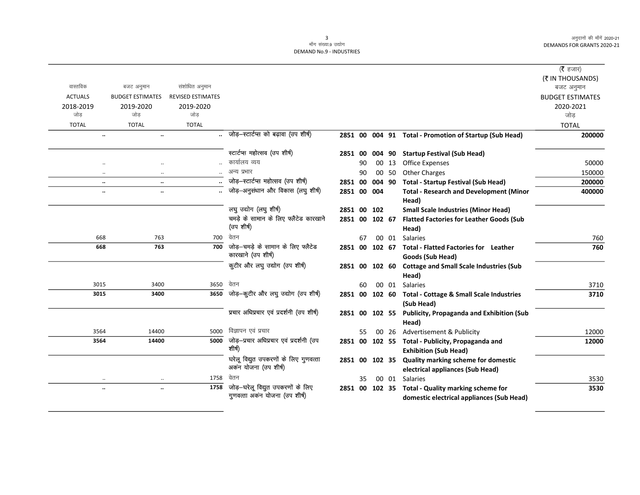|                |                         |                          |                                           |                |    |        |       |                                                          | ( $\bar{\tau}$ हजार)    |
|----------------|-------------------------|--------------------------|-------------------------------------------|----------------|----|--------|-------|----------------------------------------------------------|-------------------------|
|                |                         |                          |                                           |                |    |        |       |                                                          | (₹ IN THOUSANDS)        |
| वास्तविक       | बजट अनुमान              | संशोधित अनुमान           |                                           |                |    |        |       |                                                          | बजट अनुमान              |
| <b>ACTUALS</b> | <b>BUDGET ESTIMATES</b> | <b>REVISED ESTIMATES</b> |                                           |                |    |        |       |                                                          | <b>BUDGET ESTIMATES</b> |
| 2018-2019      | 2019-2020               | 2019-2020                |                                           |                |    |        |       |                                                          | 2020-2021               |
| जोड            | जोड                     | जोड                      |                                           |                |    |        |       |                                                          | जोड                     |
| <b>TOTAL</b>   | <b>TOTAL</b>            | <b>TOTAL</b>             |                                           |                |    |        |       |                                                          | <b>TOTAL</b>            |
|                | $\ddotsc$<br>$\ddotsc$  |                          | जोड़-स्टार्टप्स को बढ़ावा (उप शीर्ष)      |                |    |        |       | 2851 00 004 91 Total - Promotion of Startup (Sub Head)   | 200000                  |
|                |                         |                          | स्टार्टप्स महोत्सव (उप शीर्ष)             | 2851 00        |    | 004 90 |       | <b>Startup Festival (Sub Head)</b>                       |                         |
|                | $\ddotsc$               |                          | कार्यालय व्यय                             |                | 90 |        | 00 13 | <b>Office Expenses</b>                                   | 50000                   |
|                | $\cdot$<br>$\ddotsc$    |                          | अन्य प्रभार                               |                | 90 |        | 00 50 | <b>Other Charges</b>                                     | 150000                  |
|                | $\ddotsc$<br>$\ddotsc$  |                          | जोड़-स्टार्टप्स महोत्सव (उप शीर्ष)        | 2851 00        |    | 004 90 |       | <b>Total - Startup Festival (Sub Head)</b>               | 200000                  |
|                | $\ldots$<br>$\ldots$    |                          | जोड़-अनुसंधान और विकास (लघु शीर्ष)        | 2851 00 004    |    |        |       | <b>Total - Research and Development (Minor</b>           | 400000                  |
|                |                         |                          |                                           |                |    |        |       | Head)                                                    |                         |
|                |                         |                          | लघु उद्योग (लघु शीर्ष)                    | 2851 00 102    |    |        |       | <b>Small Scale Industries (Minor Head)</b>               |                         |
|                |                         |                          | चमड़े के सामान के लिए फ्लैटेड कारखाने     | 2851 00 102 67 |    |        |       | <b>Flatted Factories for Leather Goods (Sub</b>          |                         |
|                |                         |                          | (उप शीर्ष)                                |                |    |        |       | Head)                                                    |                         |
|                | 668<br>763              | 700                      | वेतन                                      |                | 67 |        |       | 00 01 Salaries                                           | 760                     |
| 668            | 763                     | 700                      | जोड़–चमड़े के सामान के लिए फ्लैटेड        |                |    |        |       | 2851 00 102 67 Total - Flatted Factories for Leather     | 760                     |
|                |                         |                          | कारखाने (उप शीर्ष)                        |                |    |        |       | Goods (Sub Head)                                         |                         |
|                |                         |                          | कुटीर और लघु उद्योग (उप शीर्ष)            | 2851 00        |    | 102 60 |       | <b>Cottage and Small Scale Industries (Sub</b><br>Head)  |                         |
| 3015           | 3400                    | 3650                     | वेतन                                      |                | 60 |        |       | 00 01 Salaries                                           | 3710                    |
| 3015           | 3400                    | 3650                     | जोड़-कुटीर और लघु उद्योग (उप शीर्ष)       |                |    |        |       | 2851 00 102 60 Total - Cottage & Small Scale Industries  | 3710                    |
|                |                         |                          |                                           |                |    |        |       | (Sub Head)                                               |                         |
|                |                         |                          | प्रचार अधिप्रचार एवं प्रदर्शनी (उप शीर्ष) |                |    |        |       | 2851 00 102 55 Publicity, Propaganda and Exhibition (Sub |                         |
|                |                         |                          |                                           |                |    |        |       | Head)                                                    |                         |
| 3564           | 14400                   | 5000                     | विज्ञापन एवं प्रचार                       |                | 55 |        |       | 00 26 Advertisement & Publicity                          | 12000                   |
| 3564           | 14400                   | 5000                     | जोड़-प्रचार अधिप्रचार एवं प्रदर्शनी (उप   |                |    |        |       | 2851 00 102 55 Total - Publicity, Propaganda and         | 12000                   |
|                |                         |                          | शीर्ष)                                    |                |    |        |       | <b>Exhibition (Sub Head)</b>                             |                         |
|                |                         |                          | घरेलू विद्युत उपकरणों के लिए गुणवत्ता     |                |    |        |       | 2851 00 102 35 Quality marking scheme for domestic       |                         |
|                |                         |                          | अकन योजना (उप शीर्ष)                      |                |    |        |       | electrical appliances (Sub Head)                         |                         |
|                | $\cdot\cdot$            | 1758                     | वेतन                                      |                | 35 |        |       | 00 01 Salaries                                           | 3530                    |
|                | $\ldots$<br>$\ldots$    | 1758                     | जोड़-घरेलू विद्युत उपकरणों के लिए         |                |    |        |       | 2851 00 102 35 Total - Quality marking scheme for        | 3530                    |
|                |                         |                          | गुणवत्ता अकन योजना (उप शीर्ष)             |                |    |        |       | domestic electrical appliances (Sub Head)                |                         |
|                |                         |                          |                                           |                |    |        |       |                                                          |                         |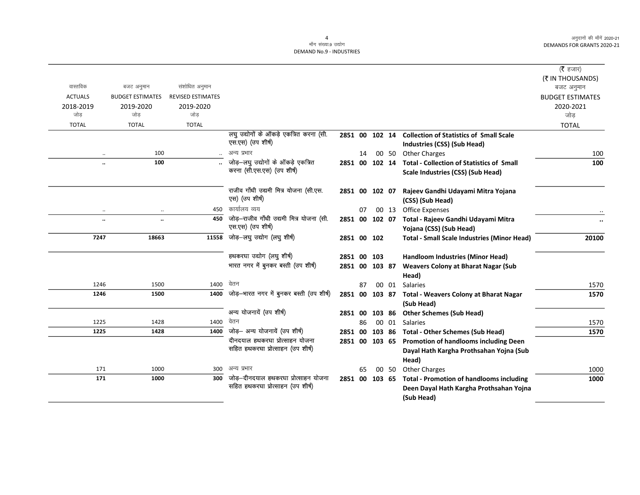$\overline{\phantom{0}}$ 

#### माँग संख्या.9 उद्योग DEMAND No.9 - INDUSTRIES

|                  |                         |                          |                                               |                |    |        |       |                                                          | ( $\bar{\tau}$ हजार)    |
|------------------|-------------------------|--------------------------|-----------------------------------------------|----------------|----|--------|-------|----------------------------------------------------------|-------------------------|
|                  |                         |                          |                                               |                |    |        |       |                                                          | (₹ IN THOUSANDS)        |
| वास्तविक         | बजट अनुमान              | संशोधित अनुमान           |                                               |                |    |        |       |                                                          | बजट अनुमान              |
| <b>ACTUALS</b>   | <b>BUDGET ESTIMATES</b> | <b>REVISED ESTIMATES</b> |                                               |                |    |        |       |                                                          | <b>BUDGET ESTIMATES</b> |
| 2018-2019<br>जोड | 2019-2020<br>जोड        | 2019-2020<br>जोड         |                                               |                |    |        |       |                                                          | 2020-2021               |
| <b>TOTAL</b>     | <b>TOTAL</b>            |                          |                                               |                |    |        |       |                                                          | जोड                     |
|                  |                         | <b>TOTAL</b>             | लघु उद्योगों के ऑकड़े एकत्रित करना (सी.       | 2851 00 102 14 |    |        |       | <b>Collection of Statistics of Small Scale</b>           | <b>TOTAL</b>            |
|                  |                         |                          | एस.एस) (उप शीर्ष)                             |                |    |        |       | Industries (CSS) (Sub Head)                              |                         |
|                  | 100<br>$\ddotsc$        |                          | अन्य प्रभार                                   |                | 14 |        | 00 50 | <b>Other Charges</b>                                     | 100                     |
|                  | 100<br>$\ddotsc$        |                          | जोड़-लघु उद्योगों के ऑकड़े एकत्रित            |                |    |        |       | 2851 00 102 14 Total - Collection of Statistics of Small | 100                     |
|                  |                         |                          | करना (सी.एस.एस) (उप शीर्ष)                    |                |    |        |       | Scale Industries (CSS) (Sub Head)                        |                         |
|                  |                         |                          |                                               |                |    |        |       |                                                          |                         |
|                  |                         |                          | राजीव गाँधी उद्यमी मित्र योजना (सी.एस.        | 2851 00 102 07 |    |        |       | Rajeev Gandhi Udayami Mitra Yojana                       |                         |
|                  |                         |                          | एस) (उप शीर्ष)                                |                |    |        |       | (CSS) (Sub Head)                                         |                         |
|                  |                         | 450                      | कार्यालय व्यय                                 |                | 07 |        | 00 13 | <b>Office Expenses</b>                                   |                         |
|                  | $\ddotsc$<br>٠.         | 450                      | जोड़-राजीव गाँधी उद्यमी मित्र योजना (सी.      | 2851 00 102 07 |    |        |       | Total - Rajeev Gandhi Udayami Mitra                      | $\ddotsc$               |
|                  |                         |                          | एस.एस) (उप शीर्ष)                             |                |    |        |       | Yojana (CSS) (Sub Head)                                  |                         |
| 7247             | 18663                   | 11558                    | जोड़-लघु उद्योग (लघु शीर्ष)                   | 2851 00 102    |    |        |       | <b>Total - Small Scale Industries (Minor Head)</b>       | 20100                   |
|                  |                         |                          |                                               |                |    |        |       |                                                          |                         |
|                  |                         |                          | हथकरघा उद्योग (लघु शीर्ष)                     | 2851 00 103    |    |        |       | Handloom Industries (Minor Head)                         |                         |
|                  |                         |                          | भारत नगर में बुनकर बस्ती (उप शीर्ष)           | 2851 00 103 87 |    |        |       | <b>Weavers Colony at Bharat Nagar (Sub</b>               |                         |
| 1246             | 1500                    | 1400                     | वेतन                                          |                | 87 |        |       | Head)<br>00 01 Salaries                                  | 1570                    |
| 1246             | 1500                    |                          | 1400 जोड़-भारत नगर में बुनकर बस्ती (उप शीर्ष) | 2851 00 103 87 |    |        |       | <b>Total - Weavers Colony at Bharat Nagar</b>            | 1570                    |
|                  |                         |                          |                                               |                |    |        |       | (Sub Head)                                               |                         |
|                  |                         |                          | अन्य योजनायें (उप शीर्ष)                      | 2851 00        |    | 103 86 |       | <b>Other Schemes (Sub Head)</b>                          |                         |
| 1225             | 1428                    | 1400                     | वेतन                                          |                | 86 |        | 00 01 | <b>Salaries</b>                                          | 1570                    |
| 1225             | 1428                    | 1400                     | जोड़- अन्य योजनायें (उप शीर्ष)                |                |    |        |       | 2851 00 103 86 Total - Other Schemes (Sub Head)          | 1570                    |
|                  |                         |                          | दीनदयाल हथकरघा प्रोत्साहन योजना               | 2851 00 103 65 |    |        |       | <b>Promotion of handlooms including Deen</b>             |                         |
|                  |                         |                          | सहित हथकरघा प्रोत्साहन (उप शीर्ष)             |                |    |        |       | Dayal Hath Kargha Prothsahan Yojna (Sub                  |                         |
|                  |                         |                          |                                               |                |    |        |       | Head)                                                    |                         |
| 171              | 1000                    | 300                      | अन्य प्रभार                                   |                | 65 |        | 00 50 | <b>Other Charges</b>                                     | 1000                    |
| 171              | 1000                    | 300                      | जोड–दीनदयाल हथकरघा प्रोत्साहन योजना           | 2851 00 103 65 |    |        |       | <b>Total - Promotion of handlooms including</b>          | 1000                    |
|                  |                         |                          | सहित हथकरघा प्रोत्साहन (उप शीर्ष)             |                |    |        |       | Deen Dayal Hath Kargha Prothsahan Yojna                  |                         |
|                  |                         |                          |                                               |                |    |        |       | (Sub Head)                                               |                         |

4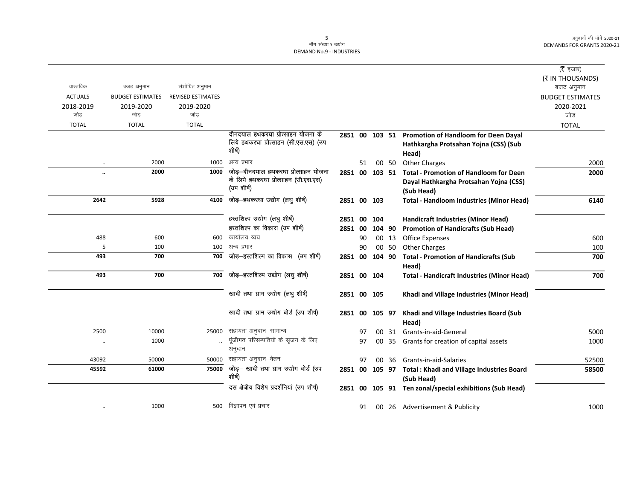|                      |                         |                          |                                                    |                |    |        |       |                                                           | ( <b>रै</b> हजार)       |
|----------------------|-------------------------|--------------------------|----------------------------------------------------|----------------|----|--------|-------|-----------------------------------------------------------|-------------------------|
|                      |                         |                          |                                                    |                |    |        |       |                                                           | (₹ IN THOUSANDS)        |
| वास्तविक             | बजट अनुमान              | संशोधित अनुमान           |                                                    |                |    |        |       |                                                           | बजट अनुमान              |
| <b>ACTUALS</b>       | <b>BUDGET ESTIMATES</b> | <b>REVISED ESTIMATES</b> |                                                    |                |    |        |       |                                                           | <b>BUDGET ESTIMATES</b> |
| 2018-2019            | 2019-2020               | 2019-2020                |                                                    |                |    |        |       |                                                           | 2020-2021               |
| जोड                  | जोड                     | जोड                      |                                                    |                |    |        |       |                                                           | जोड                     |
| <b>TOTAL</b>         | <b>TOTAL</b>            | <b>TOTAL</b>             |                                                    |                |    |        |       |                                                           | <b>TOTAL</b>            |
|                      |                         |                          | दीनदयाल हथकरघा प्रोत्साहन योजना के                 | 2851 00 103 51 |    |        |       | Promotion of Handloom for Deen Dayal                      |                         |
|                      |                         |                          | लिये हथकरघा प्रोत्साहन (सी.एस.एस) (उप<br>शीर्ष)    |                |    |        |       | Hathkargha Protsahan Yojna (CSS) (Sub                     |                         |
|                      |                         |                          |                                                    |                |    |        |       | Head)                                                     |                         |
| $\ddotsc$            | 2000                    | 1000                     | अन्य प्रभार                                        |                | 51 |        | 00 50 | <b>Other Charges</b>                                      | 2000                    |
| $\ddot{\phantom{a}}$ | 2000                    | 1000                     | जोड–दीनदयाल हथकरघा प्रोत्साहन योजना                | 2851 00 103 51 |    |        |       | <b>Total - Promotion of Handloom for Deen</b>             | 2000                    |
|                      |                         |                          | के लिये हथकरघा प्रोत्साहन (सी.एस.एस)<br>(उप शीर्ष) |                |    |        |       | Dayal Hathkargha Protsahan Yojna (CSS)                    |                         |
|                      |                         |                          |                                                    |                |    |        |       | (Sub Head)                                                |                         |
| 2642                 | 5928                    | 4100                     | जोड़-हथकरघा उद्योग (लघु शीर्ष)                     | 2851 00 103    |    |        |       | <b>Total - Handloom Industries (Minor Head)</b>           | 6140                    |
|                      |                         |                          | हस्तशिल्प उद्योग (लघु शीर्ष)                       |                |    |        |       |                                                           |                         |
|                      |                         |                          | हस्तशिल्प का विकास (उप शीर्ष)                      | 2851 00        |    | 104    |       | <b>Handicraft Industries (Minor Head)</b>                 |                         |
|                      |                         |                          | कार्यालय व्यय                                      | 2851 00        |    | 104 90 |       | <b>Promotion of Handicrafts (Sub Head)</b>                |                         |
| 488                  | 600                     | 600                      | अन्य प्रभार                                        |                | 90 |        | 00 13 | <b>Office Expenses</b>                                    | 600                     |
| 5                    | 100                     | 100                      | जोड़-हस्तशिल्प का विकास (उप शीर्ष)                 |                | 90 |        | 00 50 | Other Charges                                             | 100                     |
| 493                  | 700                     | 700                      |                                                    | 2851 00        |    | 104 90 |       | <b>Total - Promotion of Handicrafts (Sub</b>              | 700                     |
|                      |                         |                          | जोड़-हस्तशिल्प उद्योग (लघु शीर्ष)                  |                |    |        |       | Head)                                                     |                         |
| 493                  | 700                     | 700                      |                                                    | 2851 00 104    |    |        |       | <b>Total - Handicraft Industries (Minor Head)</b>         | 700                     |
|                      |                         |                          | खादी तथा ग्राम उद्योग (लघु शीर्ष)                  | 2851 00 105    |    |        |       | Khadi and Village Industries (Minor Head)                 |                         |
|                      |                         |                          |                                                    |                |    |        |       |                                                           |                         |
|                      |                         |                          | खादी तथा ग्राम उद्योग बोर्ड (उप शीर्ष)             | 2851 00 105 97 |    |        |       | Khadi and Village Industries Board (Sub                   |                         |
|                      |                         |                          |                                                    |                |    |        |       | Head)                                                     |                         |
| 2500                 | 10000                   | 25000                    | सहायता अनुदान–सामान्य                              |                | 97 |        |       | 00 31 Grants-in-aid-General                               | 5000                    |
| $\cdot\cdot$         | 1000                    | $\ddotsc$                | पूंजीगत परिसम्पतियो के सृजन के लिए<br>अनुदान       |                | 97 |        |       | 00 35 Grants for creation of capital assets               | 1000                    |
| 43092                | 50000                   | 50000                    | सहायता अनुदान–वेतन                                 |                | 97 |        | 00 36 | Grants-in-aid-Salaries                                    | 52500                   |
| 45592                | 61000                   | 75000                    | जोड़- खादी तथा ग्राम उद्योग बोर्ड (उप              |                |    |        |       | 2851 00 105 97 Total : Khadi and Village Industries Board | 58500                   |
|                      |                         |                          | शीर्ष)                                             |                |    |        |       | (Sub Head)                                                |                         |
|                      |                         |                          | दस क्षेत्रीय विशेष प्रदर्शनियां (उप शीर्ष)         |                |    |        |       | 2851 00 105 91 Ten zonal/special exhibitions (Sub Head)   |                         |
|                      | 1000                    | 500                      | विज्ञापन एवं प्रचार                                |                | 91 |        |       | 00 26 Advertisement & Publicity                           | 1000                    |
|                      |                         |                          |                                                    |                |    |        |       |                                                           |                         |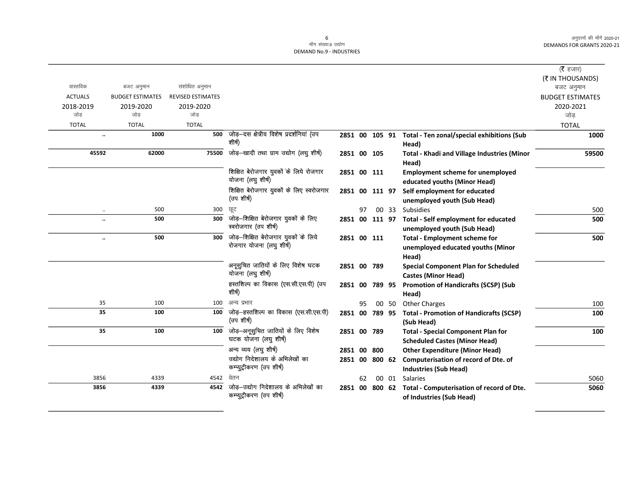#### मॉंग संख्या.9 उद्योग DEMAND No.9 - INDUSTRIES

|                      |                         |                          |                                                        |                |    |                |       |                                                              | ( $\bar{\tau}$ हजार)    |
|----------------------|-------------------------|--------------------------|--------------------------------------------------------|----------------|----|----------------|-------|--------------------------------------------------------------|-------------------------|
|                      |                         |                          |                                                        |                |    |                |       |                                                              | (₹ IN THOUSANDS)        |
| वास्तविक             | बजट अनुमान              | संशोधित अनुमान           |                                                        |                |    |                |       |                                                              | बजट अनुमान              |
| <b>ACTUALS</b>       | <b>BUDGET ESTIMATES</b> | <b>REVISED ESTIMATES</b> |                                                        |                |    |                |       |                                                              | <b>BUDGET ESTIMATES</b> |
| 2018-2019            | 2019-2020               | 2019-2020                |                                                        |                |    |                |       |                                                              | 2020-2021               |
| जोड                  | जोड                     | जोड                      |                                                        |                |    |                |       |                                                              | जोड                     |
| <b>TOTAL</b>         | <b>TOTAL</b>            | <b>TOTAL</b>             |                                                        |                |    |                |       |                                                              | <b>TOTAL</b>            |
| $\ddot{\phantom{0}}$ | 1000                    | 500                      | जोड़–दस क्षेत्रीय विशेष प्रदर्शनियां (उप<br>शीर्ष)     | 2851 00 105 91 |    |                |       | Total - Ten zonal/special exhibitions (Sub<br>Head)          | 1000                    |
| 45592                | 62000                   | 75500                    | जोड़-खादी तथा ग्राम उद्योग (लघु शीर्ष)                 | 2851 00 105    |    |                |       | Total - Khadi and Village Industries (Minor                  | 59500                   |
|                      |                         |                          |                                                        |                |    |                |       | Head)                                                        |                         |
|                      |                         |                          | शिक्षित बेरोजगार युवकों के लिये रोजगार                 | 2851 00 111    |    |                |       | <b>Employment scheme for unemployed</b>                      |                         |
|                      |                         |                          | योजना (लघु शीर्ष)                                      |                |    |                |       | educated youths (Minor Head)                                 |                         |
|                      |                         |                          | शिक्षित बेरोजगार युवकों के लिए स्वरोजगार               |                |    | 2851 00 111 97 |       | Self employment for educated                                 |                         |
|                      |                         |                          | (उप शीर्ष)                                             |                |    |                |       | unemployed youth (Sub Head)                                  |                         |
| $\ddotsc$            | 500                     | 300                      | छूट                                                    |                | 97 |                | 00 33 | Subsidies                                                    | 500                     |
|                      | 500                     | 300                      | जोड़—शिक्षित बेरोजगार युवकों के लिए                    |                |    | 2851 00 111 97 |       | <b>Total - Self employment for educated</b>                  | 500                     |
|                      |                         |                          | स्वरोजगार (उप शीर्ष)                                   |                |    |                |       | unemployed youth (Sub Head)                                  |                         |
|                      | 500                     | 300                      | जोड़—शिक्षित बेरोजगार युवकों के लिये                   | 2851 00 111    |    |                |       | <b>Total - Employment scheme for</b>                         | 500                     |
|                      |                         |                          | रोजगार योजना (लघु शीर्ष)                               |                |    |                |       | unemployed educated youths (Minor                            |                         |
|                      |                         |                          |                                                        |                |    |                |       | Head)                                                        |                         |
|                      |                         |                          | अनूसुचित जातियों के लिए विशेष घटक<br>योजना (लघु शीर्ष) | 2851 00 789    |    |                |       | <b>Special Component Plan for Scheduled</b>                  |                         |
|                      |                         |                          |                                                        |                |    |                |       | <b>Castes (Minor Head)</b>                                   |                         |
|                      |                         |                          | हस्तशिल्प का विकास (एस.सी.एस.पी) (उप<br>शीर्ष)         |                |    | 2851 00 789 95 |       | <b>Promotion of Handicrafts (SCSP) (Sub</b>                  |                         |
|                      |                         |                          | अन्य प्रभार                                            |                |    |                |       | Head)                                                        |                         |
| 35<br>35             | 100                     | 100                      | जोड़-हस्तशिल्प का विकास (एस.सी.एस.पी)                  |                | 95 |                | 00 50 | <b>Other Charges</b>                                         | 100                     |
|                      | 100                     | 100                      | (उप शीर्ष)                                             | 2851 00 789 95 |    |                |       | <b>Total - Promotion of Handicrafts (SCSP)</b><br>(Sub Head) | 100                     |
| 35                   | 100                     | 100                      | जोड़-अनूसुचित जातियों के लिए विशेष                     | 2851 00 789    |    |                |       | <b>Total - Special Component Plan for</b>                    | 100                     |
|                      |                         |                          | घटक योजना (लघु शीर्ष)                                  |                |    |                |       | <b>Scheduled Castes (Minor Head)</b>                         |                         |
|                      |                         |                          | अन्य व्यय (लघु शीर्ष)                                  | 2851 00        |    | 800            |       | <b>Other Expenditure (Minor Head)</b>                        |                         |
|                      |                         |                          | उद्योग निदेशालय के अभिलेखों का                         |                |    | 2851 00 800 62 |       | Computerisation of record of Dte. of                         |                         |
|                      |                         |                          | कम्प्युट्रीकरण (उप शीर्ष)                              |                |    |                |       | <b>Industries (Sub Head)</b>                                 |                         |
| 3856                 | 4339                    | 4542                     | वेतन                                                   |                | 62 |                | 00 01 | Salaries                                                     | 5060                    |
| 3856                 | 4339                    | 4542                     | जोड़—उद्योग निदेशालय के अभिलेखों का                    |                |    | 2851 00 800 62 |       | Total - Computerisation of record of Dte.                    | 5060                    |
|                      |                         |                          | कम्प्युट्रीकरण (उप शीर्ष)                              |                |    |                |       | of Industries (Sub Head)                                     |                         |
|                      |                         |                          |                                                        |                |    |                |       |                                                              |                         |

6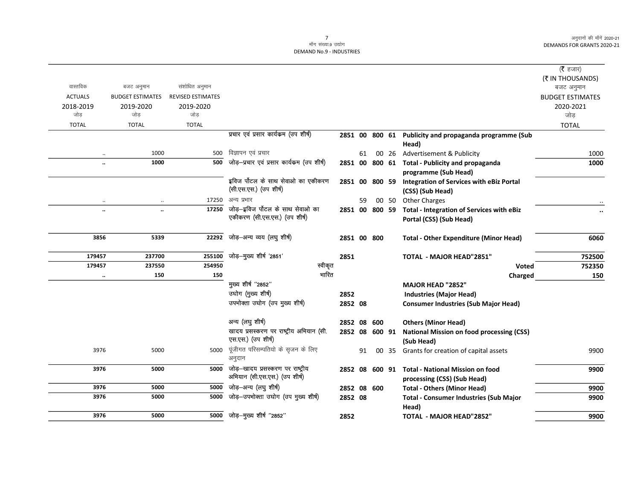#### .<br>माँग संख्या.9 उद्योग DEMAND No.9 - INDUSTRIES

|                      |                         |                          |                                                                   |                |    |        |       |                                                                         | ( $\bar{\tau}$ हजार)<br>(₹ IN THOUSANDS) |
|----------------------|-------------------------|--------------------------|-------------------------------------------------------------------|----------------|----|--------|-------|-------------------------------------------------------------------------|------------------------------------------|
| वास्तविक             | बजट अनुमान              | संशोधित अनुमान           |                                                                   |                |    |        |       |                                                                         | बजट अनुमान                               |
| <b>ACTUALS</b>       | <b>BUDGET ESTIMATES</b> | <b>REVISED ESTIMATES</b> |                                                                   |                |    |        |       |                                                                         | <b>BUDGET ESTIMATES</b>                  |
| 2018-2019            | 2019-2020               | 2019-2020                |                                                                   |                |    |        |       |                                                                         | 2020-2021                                |
| जोड                  | जोड                     | जोड                      |                                                                   |                |    |        |       |                                                                         | जोड़                                     |
| <b>TOTAL</b>         | <b>TOTAL</b>            | <b>TOTAL</b>             |                                                                   |                |    |        |       |                                                                         | <b>TOTAL</b>                             |
|                      |                         |                          | प्रचार एवं प्रसार कार्यकम (उप शीर्ष)                              |                |    |        |       | 2851 00 800 61 Publicity and propaganda programme (Sub                  |                                          |
|                      | 1000                    | 500                      | विज्ञापन एवं प्रचार                                               |                |    |        |       | Head)                                                                   |                                          |
| $\ddotsc$            | 1000                    | 500                      | जोड़-प्रचार एवं प्रसार कार्यकम (उप शीर्ष)                         |                | 61 |        | 00 26 | Advertisement & Publicity                                               | 1000                                     |
| $\ddot{\phantom{a}}$ |                         |                          |                                                                   |                |    |        |       | 2851 00 800 61 Total - Publicity and propaganda<br>programme (Sub Head) | 1000                                     |
|                      |                         |                          | इविज पोंटल के साथ सेवाओ का एकीकरण                                 | 2851 00        |    | 800 59 |       | <b>Integration of Services with eBiz Portal</b>                         |                                          |
|                      |                         |                          | (सी.एस.एस.) (उप शीर्ष)                                            |                |    |        |       | (CSS) (Sub Head)                                                        |                                          |
| $\ldots$             | $\ldots$                | 17250                    | अन्य प्रभार                                                       |                | 59 |        | 00 50 | <b>Other Charges</b>                                                    |                                          |
| $\ddotsc$            | $\ddot{\phantom{a}}$    | 17250                    | जोड़-इविज पोंटल के साथ सेवाओ का                                   | 2851 00 800 59 |    |        |       | <b>Total - Integration of Services with eBiz</b>                        | $\ddot{\phantom{0}}$                     |
|                      |                         |                          | एकीकरण (सी.एस.एस.) (उप शीर्ष)                                     |                |    |        |       | Portal (CSS) (Sub Head)                                                 |                                          |
| 3856                 | 5339                    | 22292                    | जोड़-अन्य व्यय (लघु शीर्ष)                                        | 2851 00 800    |    |        |       | <b>Total - Other Expenditure (Minor Head)</b>                           | 6060                                     |
| 179457               | 237700                  | 255100                   | जोड़-मुख्य शीर्ष '2851'                                           | 2851           |    |        |       | <b>TOTAL - MAJOR HEAD"2851"</b>                                         | 752500                                   |
| 179457               | 237550                  | 254950                   | स्वीकृत                                                           |                |    |        |       | Voted                                                                   | 752350                                   |
| $\ldots$             | 150                     | 150                      | भारित                                                             |                |    |        |       | Charged                                                                 | 150                                      |
|                      |                         |                          | मुख्य शीर्ष "2852"                                                |                |    |        |       | MAJOR HEAD "2852"                                                       |                                          |
|                      |                         |                          | उघोग (मुख्य शीर्ष)                                                | 2852           |    |        |       | <b>Industries (Major Head)</b>                                          |                                          |
|                      |                         |                          | उपभोक्ता उघोग (उप मुख्य शीर्ष)                                    | 2852 08        |    |        |       | <b>Consumer Industries (Sub Major Head)</b>                             |                                          |
|                      |                         |                          | अन्य (लघु शीर्ष)                                                  | 2852 08        |    | 600    |       | <b>Others (Minor Head)</b>                                              |                                          |
|                      |                         |                          | खादय प्रसस्करण पर राष्ट्रीय अभियान (सी.                           | 2852 08        |    | 600 91 |       | <b>National Mission on food processing (CSS)</b>                        |                                          |
|                      |                         |                          | एस.एस.) (उप शीर्ष)                                                |                |    |        |       | (Sub Head)                                                              |                                          |
| 3976                 | 5000                    | 5000                     | पूंजीगत परिसम्पतियो के सृजन के लिए<br>अनुदान                      |                | 91 | 00     | 35    | Grants for creation of capital assets                                   | 9900                                     |
| 3976                 | 5000                    | 5000                     | जोड़-खादय प्रसस्करण पर राष्ट्रीय<br>अभियान (सी.एस.एस.) (उप शीर्ष) | 2852 08        |    | 600 91 |       | <b>Total - National Mission on food</b><br>processing (CSS) (Sub Head)  | 9900                                     |
| 3976                 | 5000                    | 5000                     | जोड़-अन्य (लघु शीर्ष)                                             | 2852 08 600    |    |        |       | <b>Total - Others (Minor Head)</b>                                      | 9900                                     |
| 3976                 | 5000                    | 5000                     | जोड़-उपभोक्ता उघोग (उप मुख्य शीर्ष)                               | 2852 08        |    |        |       | <b>Total - Consumer Industries (Sub Major</b>                           | 9900                                     |
|                      |                         |                          |                                                                   |                |    |        |       | Head)                                                                   |                                          |
| 3976                 | 5000                    | 5000                     | जोड़-मुख्य शीर्ष "2852"                                           | 2852           |    |        |       | TOTAL - MAJOR HEAD"2852"                                                | 9900                                     |
|                      |                         |                          |                                                                   |                |    |        |       |                                                                         |                                          |

7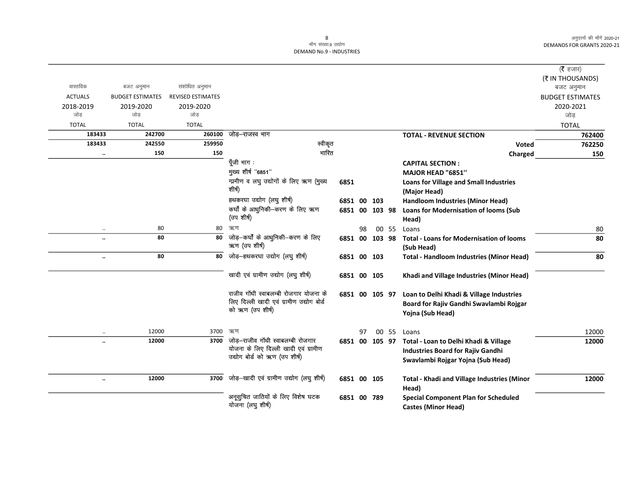|                |                         |                          |                                          |                |    |        |       |                                                    | ( <b>रै</b> हजार)       |
|----------------|-------------------------|--------------------------|------------------------------------------|----------------|----|--------|-------|----------------------------------------------------|-------------------------|
|                |                         |                          |                                          |                |    |        |       |                                                    | (₹ IN THOUSANDS)        |
| वास्तविक       | बजट अनुमान              | संशोधित अनुमान           |                                          |                |    |        |       |                                                    | बजट अनुमान              |
| <b>ACTUALS</b> | <b>BUDGET ESTIMATES</b> | <b>REVISED ESTIMATES</b> |                                          |                |    |        |       |                                                    | <b>BUDGET ESTIMATES</b> |
| 2018-2019      | 2019-2020               | 2019-2020                |                                          |                |    |        |       |                                                    | 2020-2021               |
| जोड            | जोड                     | जोड                      |                                          |                |    |        |       |                                                    | जोड                     |
| <b>TOTAL</b>   | <b>TOTAL</b>            | <b>TOTAL</b>             |                                          |                |    |        |       |                                                    | <b>TOTAL</b>            |
| 183433         | 242700                  | 260100                   | जोड़–राजस्व भाग                          |                |    |        |       | <b>TOTAL - REVENUE SECTION</b>                     | 762400                  |
| 183433         | 242550                  | 259950                   | स्वीकृत                                  |                |    |        |       | Voted                                              | 762250                  |
|                | 150<br>$\ldots$         | 150                      | भारित                                    |                |    |        |       | Charged                                            | 150                     |
|                |                         |                          | पूँजी भाग :                              |                |    |        |       | <b>CAPITAL SECTION:</b>                            |                         |
|                |                         |                          | मुख्य शीर्ष "6851"                       |                |    |        |       | MAJOR HEAD "6851"                                  |                         |
|                |                         |                          | गामीण व लघु उद्योगों के लिए ऋण (मुख्य    | 6851           |    |        |       | <b>Loans for Village and Small Industries</b>      |                         |
|                |                         |                          | शीर्ष)                                   |                |    |        |       | (Major Head)                                       |                         |
|                |                         |                          | हथकरघा उद्योग (लघु शीर्ष)                | 6851 00        |    | 103    |       | <b>Handloom Industries (Minor Head)</b>            |                         |
|                |                         |                          | कर्घों के आधुनिकी-करण के लिए ऋण          | 6851 00 103 98 |    |        |       | Loans for Modernisation of looms (Sub              |                         |
|                |                         |                          | (उप शीर्ष)                               |                |    |        |       | Head)                                              |                         |
|                | 80<br>$\cdot\cdot$      | 80                       | ऋण                                       |                | 98 |        | 00 55 | Loans                                              | 80                      |
|                | 80<br>$\ddotsc$         | 80                       | जोड़—कर्घों के आधुनिकी—करण के लिए        | 6851 00 103 98 |    |        |       | <b>Total - Loans for Modernisation of looms</b>    | 80                      |
|                |                         |                          | ऋण (उप शीर्ष)                            |                |    |        |       | (Sub Head)                                         |                         |
|                | 80<br>$\ddotsc$         | 80                       | जोड़-हथकरघा उद्योग (लघु शीर्ष)           | 6851 00 103    |    |        |       | <b>Total - Handloom Industries (Minor Head)</b>    | 80                      |
|                |                         |                          |                                          |                |    |        |       |                                                    |                         |
|                |                         |                          | खादी एवं ग्रामीण उद्योग (लघु शीर्ष)      | 6851 00 105    |    |        |       | Khadi and Village Industries (Minor Head)          |                         |
|                |                         |                          | राजीव गॉधी स्वाबलम्बी रोजगार योजना के    | 6851 00 105 97 |    |        |       | Loan to Delhi Khadi & Village Industries           |                         |
|                |                         |                          | लिए दिल्ली खादी एवं ग्रामीण उद्योग बोर्ड |                |    |        |       | Board for Rajiv Gandhi Swavlambi Rojgar            |                         |
|                |                         |                          | को ऋण (उप शीर्ष)                         |                |    |        |       | Yojna (Sub Head)                                   |                         |
|                |                         |                          |                                          |                |    |        |       |                                                    |                         |
|                | 12000                   | 3700                     | ऋण                                       |                | 97 |        | 00 55 | Loans                                              | 12000                   |
|                | 12000<br>$\ddotsc$      | 3700                     | जोड़–राजीव गाॅधी स्वाबलम्बी रोजगार       | 6851 00        |    | 105 97 |       | Total - Loan to Delhi Khadi & Village              | 12000                   |
|                |                         |                          | योजना के लिए दिल्ली खादी एवं ग्रामीण     |                |    |        |       | <b>Industries Board for Rajiv Gandhi</b>           |                         |
|                |                         |                          | उद्योग बोर्ड को ऋण (उप शीर्ष)            |                |    |        |       | Swavlambi Rojgar Yojna (Sub Head)                  |                         |
|                |                         |                          |                                          |                |    |        |       |                                                    |                         |
|                | 12000<br>$\ddotsc$      | 3700                     | जोड़-खादी एवं ग्रामीण उद्योग (लघु शीर्ष) | 6851 00 105    |    |        |       | <b>Total - Khadi and Village Industries (Minor</b> | 12000                   |
|                |                         |                          |                                          |                |    |        |       | Head)                                              |                         |
|                |                         |                          | अनूसुचित जातियों के लिए विशेष घटक        | 6851 00 789    |    |        |       | <b>Special Component Plan for Scheduled</b>        |                         |
|                |                         |                          | योजना (लघु शीर्ष)                        |                |    |        |       | <b>Castes (Minor Head)</b>                         |                         |